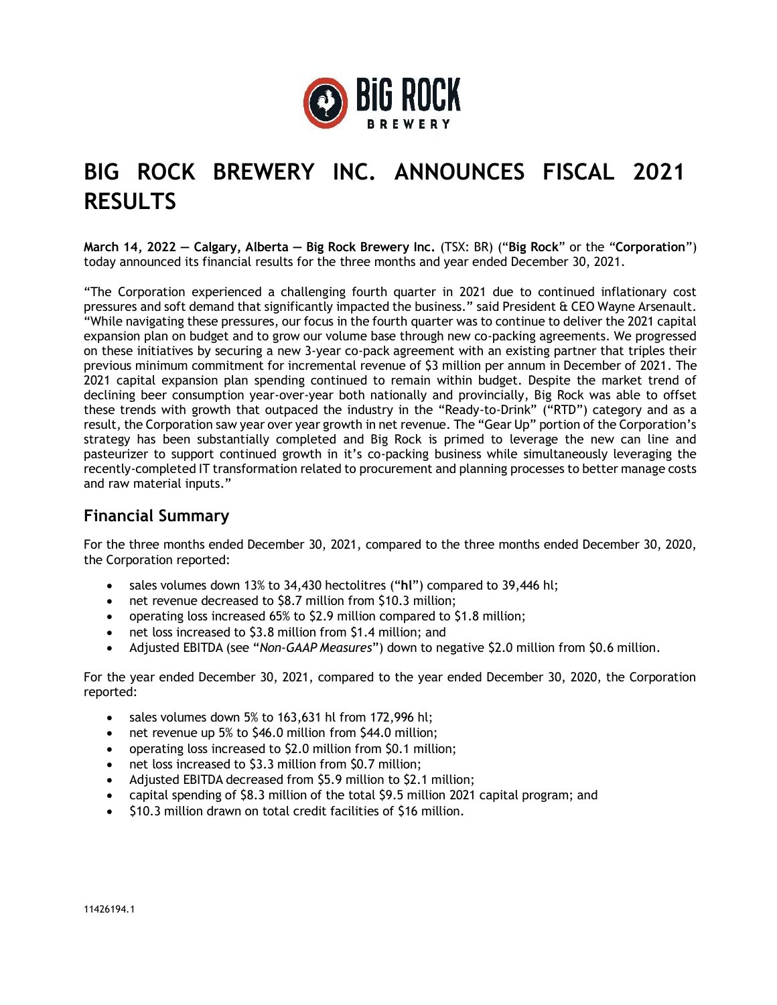

# **BIG ROCK BREWERY INC. ANNOUNCES FISCAL 2021 RESULTS**

**March 14, 2022 — Calgary, Alberta — Big Rock Brewery Inc.** (TSX: BR) ("**Big Rock**" or the "**Corporation**") today announced its financial results for the three months and year ended December 30, 2021.

"The Corporation experienced a challenging fourth quarter in 2021 due to continued inflationary cost pressures and soft demand that significantly impacted the business." said President & CEO Wayne Arsenault. "While navigating these pressures, our focus in the fourth quarter was to continue to deliver the 2021 capital expansion plan on budget and to grow our volume base through new co-packing agreements. We progressed on these initiatives by securing a new 3-year co-pack agreement with an existing partner that triples their previous minimum commitment for incremental revenue of \$3 million per annum in December of 2021. The 2021 capital expansion plan spending continued to remain within budget. Despite the market trend of declining beer consumption year-over-year both nationally and provincially, Big Rock was able to offset these trends with growth that outpaced the industry in the "Ready-to-Drink" ("RTD") category and as a result, the Corporation saw year over year growth in net revenue. The "Gear Up" portion of the Corporation's strategy has been substantially completed and Big Rock is primed to leverage the new can line and pasteurizer to support continued growth in it's co-packing business while simultaneously leveraging the recently-completed IT transformation related to procurement and planning processes to better manage costs and raw material inputs."

## **Financial Summary**

For the three months ended December 30, 2021, compared to the three months ended December 30, 2020, the Corporation reported:

- sales volumes down 13% to 34,430 hectolitres ("**hl**") compared to 39,446 hl;
- net revenue decreased to \$8.7 million from \$10.3 million;
- operating loss increased 65% to \$2.9 million compared to \$1.8 million;
- net loss increased to \$3.8 million from \$1.4 million; and
- Adjusted EBITDA (see "*Non-GAAP Measures*") down to negative \$2.0 million from \$0.6 million.

For the year ended December 30, 2021, compared to the year ended December 30, 2020, the Corporation reported:

- sales volumes down 5% to 163,631 hl from 172,996 hl;
- net revenue up 5% to \$46.0 million from \$44.0 million;
- operating loss increased to \$2.0 million from \$0.1 million;
- net loss increased to \$3.3 million from \$0.7 million;
- Adjusted EBITDA decreased from \$5.9 million to \$2.1 million;
- capital spending of \$8.3 million of the total \$9.5 million 2021 capital program; and
- \$10.3 million drawn on total credit facilities of \$16 million.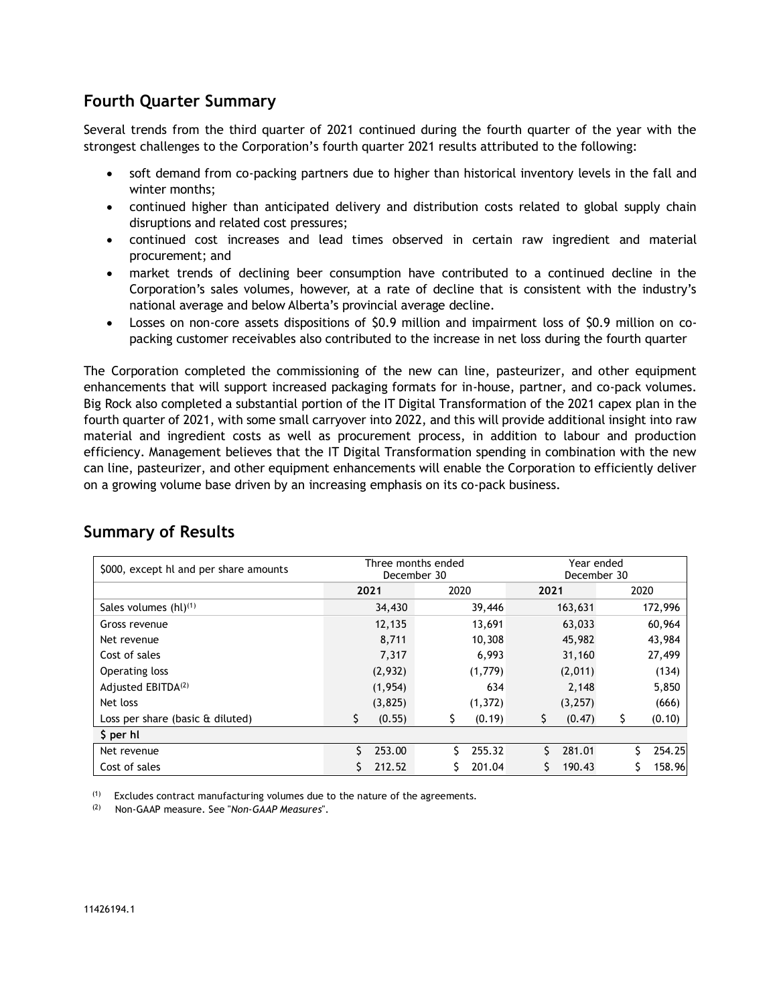# **Fourth Quarter Summary**

Several trends from the third quarter of 2021 continued during the fourth quarter of the year with the strongest challenges to the Corporation's fourth quarter 2021 results attributed to the following:

- soft demand from co-packing partners due to higher than historical inventory levels in the fall and winter months;
- continued higher than anticipated delivery and distribution costs related to global supply chain disruptions and related cost pressures;
- continued cost increases and lead times observed in certain raw ingredient and material procurement; and
- market trends of declining beer consumption have contributed to a continued decline in the Corporation's sales volumes, however, at a rate of decline that is consistent with the industry's national average and below Alberta's provincial average decline.
- Losses on non-core assets dispositions of \$0.9 million and impairment loss of \$0.9 million on copacking customer receivables also contributed to the increase in net loss during the fourth quarter

The Corporation completed the commissioning of the new can line, pasteurizer, and other equipment enhancements that will support increased packaging formats for in-house, partner, and co-pack volumes. Big Rock also completed a substantial portion of the IT Digital Transformation of the 2021 capex plan in the fourth quarter of 2021, with some small carryover into 2022, and this will provide additional insight into raw material and ingredient costs as well as procurement process, in addition to labour and production efficiency. Management believes that the IT Digital Transformation spending in combination with the new can line, pasteurizer, and other equipment enhancements will enable the Corporation to efficiently deliver on a growing volume base driven by an increasing emphasis on its co-pack business.

| \$000, except hl and per share amounts | Three months ended<br>December 30 |          |      |          | Year ended<br>December 30 |         |    |         |
|----------------------------------------|-----------------------------------|----------|------|----------|---------------------------|---------|----|---------|
|                                        | 2021                              |          | 2020 |          | 2021                      |         |    | 2020    |
| Sales volumes $(hl)^{(1)}$             |                                   | 34,430   |      | 39,446   |                           | 163,631 |    | 172,996 |
| Gross revenue                          |                                   | 12,135   |      | 13,691   |                           | 63,033  |    | 60,964  |
| Net revenue                            |                                   | 8,711    |      | 10,308   |                           | 45,982  |    | 43,984  |
| Cost of sales                          |                                   | 7,317    |      | 6,993    |                           | 31,160  |    | 27,499  |
| Operating loss                         |                                   | (2,932)  |      | (1,779)  |                           | (2,011) |    | (134)   |
| Adjusted EBITDA <sup>(2)</sup>         |                                   | (1, 954) |      | 634      |                           | 2,148   |    | 5,850   |
| Net loss                               |                                   | (3,825)  |      | (1, 372) |                           | (3,257) |    | (666)   |
| Loss per share (basic & diluted)       | Ś.                                | (0.55)   |      | (0.19)   | \$                        | (0.47)  | \$ | (0.10)  |
| \$ per hl                              |                                   |          |      |          |                           |         |    |         |
| Net revenue                            | Š.                                | 253.00   | Ś    | 255.32   | Ś.                        | 281.01  |    | 254.25  |
| Cost of sales                          |                                   | 212.52   |      | 201.04   |                           | 190.43  |    | 158.96  |

## **Summary of Results**

 $(1)$  Excludes contract manufacturing volumes due to the nature of the agreements.

(2) Non-GAAP measure. See "*Non-GAAP Measures*".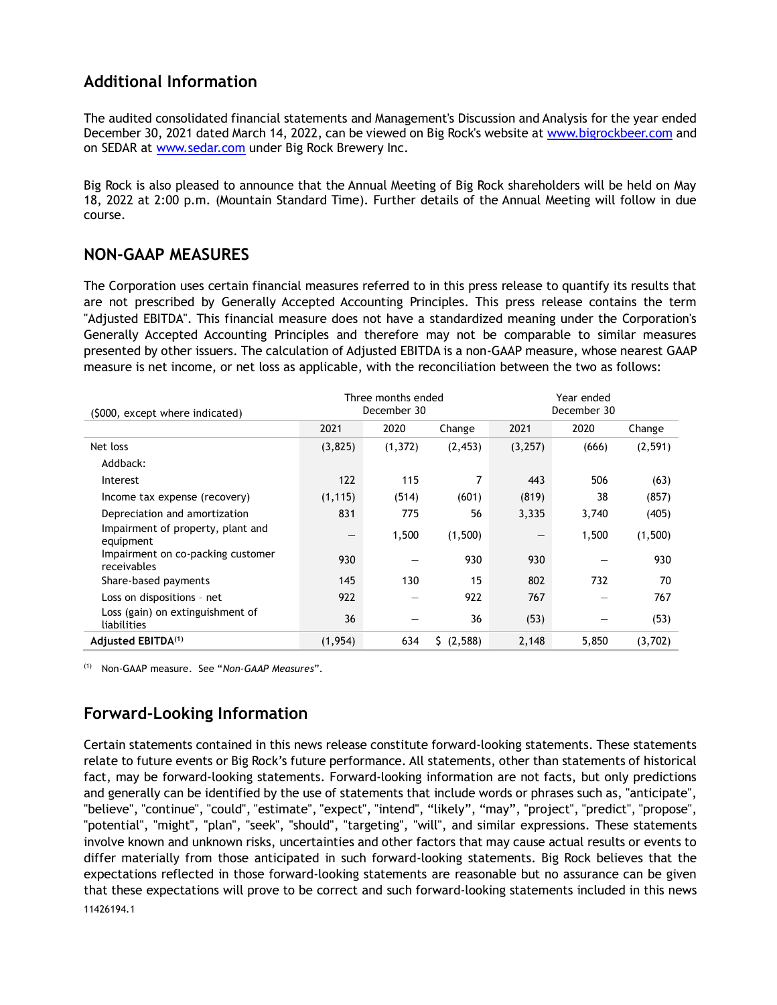# **Additional Information**

The audited consolidated financial statements and Management's Discussion and Analysis for the year ended December 30, 2021 dated March 14, 2022, can be viewed on Big Rock's website at [www.bigrockbeer.com](http://www.bigrockbeer.com/) and on SEDAR at [www.sedar.com](http://www.sedar.com/) under Big Rock Brewery Inc.

Big Rock is also pleased to announce that the Annual Meeting of Big Rock shareholders will be held on May 18, 2022 at 2:00 p.m. (Mountain Standard Time). Further details of the Annual Meeting will follow in due course.

#### **NON-GAAP MEASURES**

The Corporation uses certain financial measures referred to in this press release to quantify its results that are not prescribed by Generally Accepted Accounting Principles. This press release contains the term "Adjusted EBITDA". This financial measure does not have a standardized meaning under the Corporation's Generally Accepted Accounting Principles and therefore may not be comparable to similar measures presented by other issuers. The calculation of Adjusted EBITDA is a non-GAAP measure, whose nearest GAAP measure is net income, or net loss as applicable, with the reconciliation between the two as follows:

| (\$000, except where indicated)                  | Three months ended<br>December 30 |          |            | Year ended<br>December 30 |       |          |  |
|--------------------------------------------------|-----------------------------------|----------|------------|---------------------------|-------|----------|--|
|                                                  | 2021                              | 2020     | Change     | 2021                      | 2020  | Change   |  |
| Net loss                                         | (3,825)                           | (1, 372) | (2, 453)   | (3,257)                   | (666) | (2, 591) |  |
| Addback:                                         |                                   |          |            |                           |       |          |  |
| Interest                                         | 122                               | 115      | 7          | 443                       | 506   | (63)     |  |
| Income tax expense (recovery)                    | (1, 115)                          | (514)    | (601)      | (819)                     | 38    | (857)    |  |
| Depreciation and amortization                    | 831                               | 775      | 56         | 3,335                     | 3,740 | (405)    |  |
| Impairment of property, plant and<br>equipment   |                                   | 1,500    | (1,500)    |                           | 1,500 | (1,500)  |  |
| Impairment on co-packing customer<br>receivables | 930                               |          | 930        | 930                       |       | 930      |  |
| Share-based payments                             | 145                               | 130      | 15         | 802                       | 732   | 70       |  |
| Loss on dispositions - net                       | 922                               |          | 922        | 767                       |       | 767      |  |
| Loss (gain) on extinguishment of<br>liabilities  | 36                                |          | 36         | (53)                      |       | (53)     |  |
| Adjusted EBITDA <sup>(1)</sup>                   | (1, 954)                          | 634      | \$ (2,588) | 2,148                     | 5,850 | (3,702)  |  |

(1) Non-GAAP measure. See "*Non-GAAP Measures*".

# **Forward-Looking Information**

11426194.1 Certain statements contained in this news release constitute forward-looking statements. These statements relate to future events or Big Rock's future performance. All statements, other than statements of historical fact, may be forward-looking statements. Forward-looking information are not facts, but only predictions and generally can be identified by the use of statements that include words or phrases such as, "anticipate", "believe", "continue", "could", "estimate", "expect", "intend", "likely", "may", "project", "predict", "propose", "potential", "might", "plan", "seek", "should", "targeting", "will", and similar expressions. These statements involve known and unknown risks, uncertainties and other factors that may cause actual results or events to differ materially from those anticipated in such forward-looking statements. Big Rock believes that the expectations reflected in those forward-looking statements are reasonable but no assurance can be given that these expectations will prove to be correct and such forward-looking statements included in this news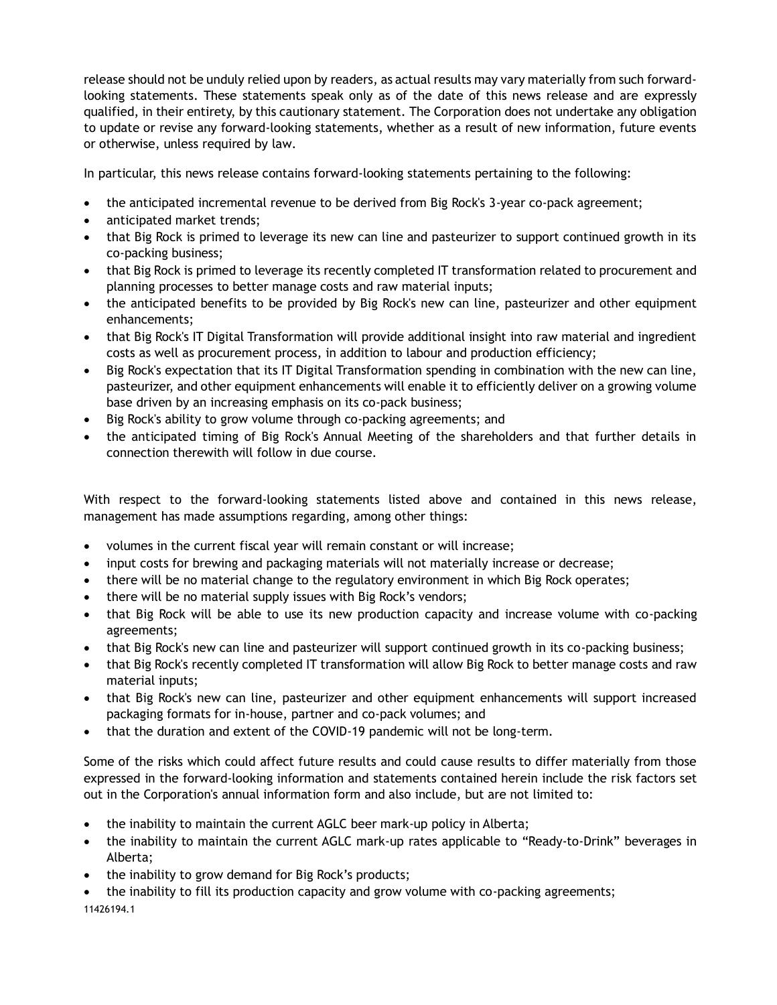release should not be unduly relied upon by readers, as actual results may vary materially from such forwardlooking statements. These statements speak only as of the date of this news release and are expressly qualified, in their entirety, by this cautionary statement. The Corporation does not undertake any obligation to update or revise any forward-looking statements, whether as a result of new information, future events or otherwise, unless required by law.

In particular, this news release contains forward-looking statements pertaining to the following:

- the anticipated incremental revenue to be derived from Big Rock's 3-year co-pack agreement;
- anticipated market trends;
- that Big Rock is primed to leverage its new can line and pasteurizer to support continued growth in its co-packing business;
- that Big Rock is primed to leverage its recently completed IT transformation related to procurement and planning processes to better manage costs and raw material inputs;
- the anticipated benefits to be provided by Big Rock's new can line, pasteurizer and other equipment enhancements;
- that Big Rock's IT Digital Transformation will provide additional insight into raw material and ingredient costs as well as procurement process, in addition to labour and production efficiency;
- Big Rock's expectation that its IT Digital Transformation spending in combination with the new can line, pasteurizer, and other equipment enhancements will enable it to efficiently deliver on a growing volume base driven by an increasing emphasis on its co-pack business;
- Big Rock's ability to grow volume through co-packing agreements; and
- the anticipated timing of Big Rock's Annual Meeting of the shareholders and that further details in connection therewith will follow in due course.

With respect to the forward-looking statements listed above and contained in this news release, management has made assumptions regarding, among other things:

- volumes in the current fiscal year will remain constant or will increase;
- input costs for brewing and packaging materials will not materially increase or decrease;
- there will be no material change to the regulatory environment in which Big Rock operates;
- there will be no material supply issues with Big Rock's vendors;
- that Big Rock will be able to use its new production capacity and increase volume with co-packing agreements;
- that Big Rock's new can line and pasteurizer will support continued growth in its co-packing business;
- that Big Rock's recently completed IT transformation will allow Big Rock to better manage costs and raw material inputs;
- that Big Rock's new can line, pasteurizer and other equipment enhancements will support increased packaging formats for in-house, partner and co-pack volumes; and
- that the duration and extent of the COVID-19 pandemic will not be long-term.

Some of the risks which could affect future results and could cause results to differ materially from those expressed in the forward-looking information and statements contained herein include the risk factors set out in the Corporation's annual information form and also include, but are not limited to:

- the inability to maintain the current AGLC beer mark-up policy in Alberta;
- the inability to maintain the current AGLC mark-up rates applicable to "Ready-to-Drink" beverages in Alberta;
- the inability to grow demand for Big Rock's products;
- 11426194.1 • the inability to fill its production capacity and grow volume with co-packing agreements;